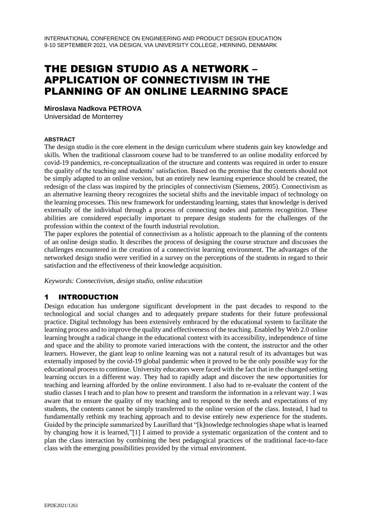# THE DESIGN STUDIO AS A NETWORK – APPLICATION OF CONNECTIVISM IN THE PLANNING OF AN ONLINE LEARNING SPACE

**Miroslava Nadkova PETROVA**

Universidad de Monterrey

#### **ABSTRACT**

The design studio is the core element in the design curriculum where students gain key knowledge and skills. When the traditional classroom course had to be transferred to an online modality enforced by covid-19 pandemics, re-conceptualization of the structure and contents was required in order to ensure the quality of the teaching and students' satisfaction. Based on the premise that the contents should not be simply adapted to an online version, but an entirely new learning experience should be created, the redesign of the class was inspired by the principles of connectivism (Siemens, 2005). Connectivism as an alternative learning theory recognizes the societal shifts and the inevitable impact of technology on the learning processes. This new framework for understanding learning, states that knowledge is derived externally of the individual through a process of connecting nodes and patterns recognition. These abilities are considered especially important to prepare design students for the challenges of the profession within the context of the fourth industrial revolution.

The paper explores the potential of connectivism as a holistic approach to the planning of the contents of an online design studio. It describes the process of designing the course structure and discusses the challenges encountered in the creation of a connectivist learning environment. The advantages of the networked design studio were verified in a survey on the perceptions of the students in regard to their satisfaction and the effectiveness of their knowledge acquisition.

*Keywords: Connectivism, design studio, online education*

### 1 INTRODUCTION

Design education has undergone significant development in the past decades to respond to the technological and social changes and to adequately prepare students for their future professional practice. Digital technology has been extensively embraced by the educational system to facilitate the learning process and to improve the quality and effectiveness of the teaching. Enabled by Web 2.0 online learning brought a radical change in the educational context with its accessibility, independence of time and space and the ability to promote varied interactions with the content, the instructor and the other learners. However, the giant leap to online learning was not a natural result of its advantages but was externally imposed by the covid-19 global pandemic when it proved to be the only possible way for the educational process to continue. University educators were faced with the fact that in the changed setting learning occurs in a different way. They had to rapidly adapt and discover the new opportunities for teaching and learning afforded by the online environment. I also had to re-evaluate the content of the studio classes I teach and to plan how to present and transform the information in a relevant way. I was aware that to ensure the quality of my teaching and to respond to the needs and expectations of my students, the contents cannot be simply transferred to the online version of the class. Instead, I had to fundamentally rethink my teaching approach and to devise entirely new experience for the students. Guided by the principle summarized by Laurillard that "[k]nowledge technologies shape what is learned by changing how it is learned,"[1] I aimed to provide a systematic organization of the content and to plan the class interaction by combining the best pedagogical practices of the traditional face-to-face class with the emerging possibilities provided by the virtual environment.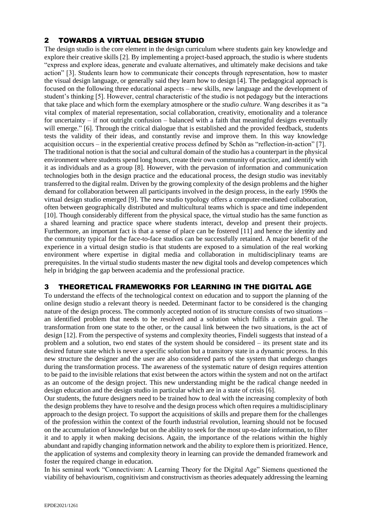## 2 TOWARDS A VIRTUAL DESIGN STUDIO

The design studio is the core element in the design curriculum where students gain key knowledge and explore their creative skills [2]. By implementing a project-based approach, the studio is where students "express and explore ideas, generate and evaluate alternatives, and ultimately make decisions and take action" [3]. Students learn how to communicate their concepts through representation, how to master the visual design language, or generally said they learn how to design [4]. The pedagogical approach is focused on the following three educational aspects – new skills, new language and the development of student's thinking [5]. However, central characteristic of the studio is not pedagogy but the interactions that take place and which form the exemplary atmosphere or the *studio culture*. Wang describes it as "a vital complex of material representation, social collaboration, creativity, emotionality and a tolerance for uncertainty – if not outright confusion – balanced with a faith that meaningful designs eventually will emerge." [6]. Through the critical dialogue that is established and the provided feedback, students tests the validity of their ideas, and constantly revise and improve them. In this way knowledge acquisition occurs – in the experiential creative process defined by Schön as "reflection-in-action" [7]. The traditional notion is that the social and cultural domain of the studio has a counterpart in the physical environment where students spend long hours, create their own community of practice, and identify with it as individuals and as a group [8]. However, with the pervasion of information and communication technologies both in the design practice and the educational process, the design studio was inevitably transferred to the digital realm. Driven by the growing complexity of the design problems and the higher demand for collaboration between all participants involved in the design process, in the early 1990s the virtual design studio emerged [9]. The new studio typology offers a computer-mediated collaboration, often between geographically distributed and multicultural teams which is space and time independent [10]. Though considerably different from the physical space, the virtual studio has the same function as a shared learning and practice space where students interact, develop and present their projects. Furthermore, an important fact is that a sense of place can be fostered [11] and hence the identity and the community typical for the face-to-face studios can be successfully retained. A major benefit of the experience in a virtual design studio is that students are exposed to a simulation of the real working environment where expertise in digital media and collaboration in multidisciplinary teams are prerequisites. In the virtual studio students master the new digital tools and develop competences which help in bridging the gap between academia and the professional practice.

### 3 THEORETICAL FRAMEWORKS FOR LEARNING IN THE DIGITAL AGE

To understand the effects of the technological context on education and to support the planning of the online design studio a relevant theory is needed. Determinant factor to be considered is the changing nature of the design process. The commonly accepted notion of its structure consists of two situations – an identified problem that needs to be resolved and a solution which fulfils a certain goal. The transformation from one state to the other, or the causal link between the two situations, is the act of design [12]. From the perspective of systems and complexity theories, Findeli suggests that instead of a problem and a solution, two end states of the system should be considered – its present state and its desired future state which is never a specific solution but a transitory state in a dynamic process. In this new structure the designer and the user are also considered parts of the system that undergo changes during the transformation process. The awareness of the systematic nature of design requires attention to be paid to the invisible relations that exist between the actors within the system and not on the artifact as an outcome of the design project. This new understanding might be the radical change needed in design education and the design studio in particular which are in a state of crisis [6].

Our students, the future designers need to be trained how to deal with the increasing complexity of both the design problems they have to resolve and the design process which often requires a multidisciplinary approach to the design project. To support the acquisitions of skills and prepare them for the challenges of the profession within the context of the fourth industrial revolution, learning should not be focused on the accumulation of knowledge but on the ability to seek for the most up-to-date information, to filter it and to apply it when making decisions. Again, the importance of the relations within the highly abundant and rapidly changing information network and the ability to explore them is prioritized. Hence, the application of systems and complexity theory in learning can provide the demanded framework and foster the required change in education.

In his seminal work "Connectivism: A Learning Theory for the Digital Age" Siemens questioned the viability of behaviourism, cognitivism and constructivism as theories adequately addressing the learning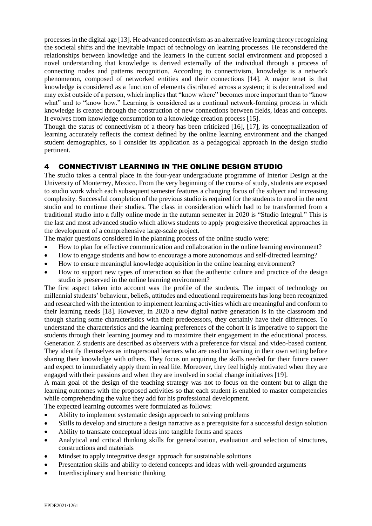processes in the digital age [13]. He advanced connectivism as an alternative learning theory recognizing the societal shifts and the inevitable impact of technology on learning processes. He reconsidered the relationships between knowledge and the learners in the current social environment and proposed a novel understanding that knowledge is derived externally of the individual through a process of connecting nodes and patterns recognition. According to connectivism, knowledge is a network phenomenon, composed of networked entities and their connections [14]. A major tenet is that knowledge is considered as a function of elements distributed across a system; it is decentralized and may exist outside of a person, which implies that "know where" becomes more important than to "know what" and to "know how." Learning is considered as a continual network-forming process in which knowledge is created through the construction of new connections between fields, ideas and concepts. It evolves from knowledge consumption to a knowledge creation process [15].

Though the status of connectivism of a theory has been criticized [16], [17], its conceptualization of learning accurately reflects the context defined by the online learning environment and the changed student demographics, so I consider its application as a pedagogical approach in the design studio pertinent.

### 4 CONNECTIVIST LEARNING IN THE ONLINE DESIGN STUDIO

The studio takes a central place in the four-year undergraduate programme of Interior Design at the University of Monterrey, Mexico. From the very beginning of the course of study, students are exposed to studio work which each subsequent semester features a changing focus of the subject and increasing complexity. Successful completion of the previous studio is required for the students to enrol in the next studio and to continue their studies. The class in consideration which had to be transformed from a traditional studio into a fully online mode in the autumn semester in 2020 is "Studio Integral." This is the last and most advanced studio which allows students to apply progressive theoretical approaches in the development of a comprehensive large-scale project.

The major questions considered in the planning process of the online studio were:

- How to plan for effective communication and collaboration in the online learning environment?
- How to engage students and how to encourage a more autonomous and self-directed learning?
- How to ensure meaningful knowledge acquisition in the online learning environment?
- How to support new types of interaction so that the authentic culture and practice of the design studio is preserved in the online learning environment?

The first aspect taken into account was the profile of the students. The impact of technology on millennial students' behaviour, beliefs, attitudes and educational requirements has long been recognized and researched with the intention to implement learning activities which are meaningful and conform to their learning needs [18]. However, in 2020 a new digital native generation is in the classroom and though sharing some characteristics with their predecessors, they certainly have their differences. To understand the characteristics and the learning preferences of the cohort it is imperative to support the students through their learning journey and to maximize their engagement in the educational process. Generation Z students are described as observers with a preference for visual and video-based content. They identify themselves as intrapersonal learners who are used to learning in their own setting before sharing their knowledge with others. They focus on acquiring the skills needed for their future career and expect to immediately apply them in real life. Moreover, they feel highly motivated when they are engaged with their passions and when they are involved in social change initiatives [19].

A main goal of the design of the teaching strategy was not to focus on the content but to align the learning outcomes with the proposed activities so that each student is enabled to master competencies while comprehending the value they add for his professional development.

The expected learning outcomes were formulated as follows:

- Ability to implement systematic design approach to solving problems
- Skills to develop and structure a design narrative as a prerequisite for a successful design solution
- Ability to translate conceptual ideas into tangible forms and spaces
- Analytical and critical thinking skills for generalization, evaluation and selection of structures, constructions and materials
- Mindset to apply integrative design approach for sustainable solutions
- Presentation skills and ability to defend concepts and ideas with well-grounded arguments
- Interdisciplinary and heuristic thinking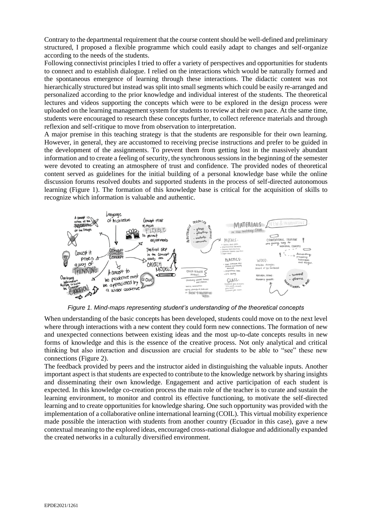Contrary to the departmental requirement that the course content should be well-defined and preliminary structured, I proposed a flexible programme which could easily adapt to changes and self-organize according to the needs of the students.

Following connectivist principles I tried to offer a variety of perspectives and opportunities for students to connect and to establish dialogue. I relied on the interactions which would be naturally formed and the spontaneous emergence of learning through these interactions. The didactic content was not hierarchically structured but instead was split into small segments which could be easily re-arranged and personalized according to the prior knowledge and individual interest of the students. The theoretical lectures and videos supporting the concepts which were to be explored in the design process were uploaded on the learning management system for students to review at their own pace. At the same time, students were encouraged to research these concepts further, to collect reference materials and through reflexion and self-critique to move from observation to interpretation.

A major premise in this teaching strategy is that the students are responsible for their own learning. However, in general, they are accustomed to receiving precise instructions and prefer to be guided in the development of the assignments. To prevent them from getting lost in the massively abundant information and to create a feeling of security, the synchronous sessions in the beginning of the semester were devoted to creating an atmosphere of trust and confidence. The provided nodes of theoretical content served as guidelines for the initial building of a personal knowledge base while the online discussion forums resolved doubts and supported students in the process of self-directed autonomous learning (Figure 1). The formation of this knowledge base is critical for the acquisition of skills to recognize which information is valuable and authentic.



*Figure 1. Mind-maps representing student's understanding of the theoretical concepts*

When understanding of the basic concepts has been developed, students could move on to the next level where through interactions with a new content they could form new connections. The formation of new and unexpected connections between existing ideas and the most up-to-date concepts results in new forms of knowledge and this is the essence of the creative process. Not only analytical and critical thinking but also interaction and discussion are crucial for students to be able to "see" these new connections (Figure 2).

The feedback provided by peers and the instructor aided in distinguishing the valuable inputs. Another important aspect is that students are expected to contribute to the knowledge network by sharing insights and disseminating their own knowledge. Engagement and active participation of each student is expected. In this knowledge co-creation process the main role of the teacher is to curate and sustain the learning environment, to monitor and control its effective functioning, to motivate the self-directed learning and to create opportunities for knowledge sharing. One such opportunity was provided with the implementation of a collaborative online international learning (COIL). This virtual mobility experience made possible the interaction with students from another country (Ecuador in this case), gave a new contextual meaning to the explored ideas, encouraged cross-national dialogue and additionally expanded the created networks in a culturally diversified environment.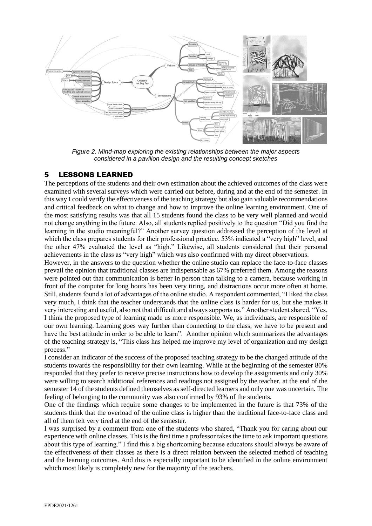

*Figure 2. Mind-map exploring the existing relationships between the major aspects considered in a pavilion design and the resulting concept sketches*

#### 5 LESSONS LEARNED

The perceptions of the students and their own estimation about the achieved outcomes of the class were examined with several surveys which were carried out before, during and at the end of the semester. In this way I could verify the effectiveness of the teaching strategy but also gain valuable recommendations and critical feedback on what to change and how to improve the online learning environment. One of the most satisfying results was that all 15 students found the class to be very well planned and would not change anything in the future. Also, all students replied positively to the question "Did you find the learning in the studio meaningful?" Another survey question addressed the perception of the level at which the class prepares students for their professional practice. 53% indicated a "very high" level, and the other 47% evaluated the level as "high." Likewise, all students considered that their personal achievements in the class as "very high" which was also confirmed with my direct observations.

However, in the answers to the question whether the online studio can replace the face-to-face classes prevail the opinion that traditional classes are indispensable as 67% preferred them. Among the reasons were pointed out that communication is better in person than talking to a camera, because working in front of the computer for long hours has been very tiring, and distractions occur more often at home. Still, students found a lot of advantages of the online studio. A respondent commented, "I liked the class very much, I think that the teacher understands that the online class is harder for us, but she makes it very interesting and useful, also not that difficult and always supports us." Another student shared, "Yes, I think the proposed type of learning made us more responsible. We, as individuals, are responsible of our own learning. Learning goes way further than connecting to the class, we have to be present and have the best attitude in order to be able to learn". Another opinion which summarizes the advantages of the teaching strategy is, "This class has helped me improve my level of organization and my design process."

I consider an indicator of the success of the proposed teaching strategy to be the changed attitude of the students towards the responsibility for their own learning. While at the beginning of the semester 80% responded that they prefer to receive precise instructions how to develop the assignments and only 30% were willing to search additional references and readings not assigned by the teacher, at the end of the semester 14 of the students defined themselves as self-directed learners and only one was uncertain. The feeling of belonging to the community was also confirmed by 93% of the students.

One of the findings which require some changes to be implemented in the future is that 73% of the students think that the overload of the online class is higher than the traditional face-to-face class and all of them felt very tired at the end of the semester.

I was surprised by a comment from one of the students who shared, "Thank you for caring about our experience with online classes. This is the first time a professor takes the time to ask important questions about this type of learning." I find this a big shortcoming because educators should always be aware of the effectiveness of their classes as there is a direct relation between the selected method of teaching and the learning outcomes. And this is especially important to be identified in the online environment which most likely is completely new for the majority of the teachers.